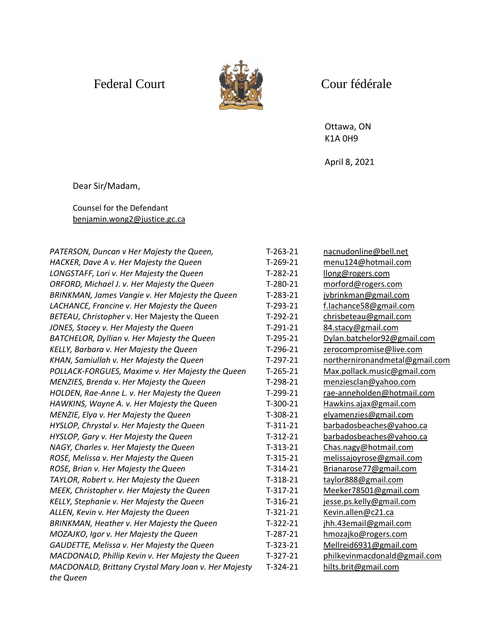

## Federal Court Court Court Court

Ottawa, ON K1A 0H9

April 8, 2021

Dear Sir/Madam,

Counsel for the Defendant [benjamin.wong2@justice.gc.ca](mailto:benjamin.wong2@justice.gc.ca)

| PATERSON, Duncan v Her Majesty the Queen,            | $T-263-21$ | nacnudonline@bell.net          |
|------------------------------------------------------|------------|--------------------------------|
| HACKER, Dave A v. Her Majesty the Queen              | $T-269-21$ | menu124@hotmail.com            |
| LONGSTAFF, Lori v. Her Majesty the Queen             | $T-282-21$ | llong@rogers.com               |
| ORFORD, Michael J. v. Her Majesty the Queen          | $T-280-21$ | morford@rogers.com             |
| BRINKMAN, James Vangie v. Her Majesty the Queen      | $T-283-21$ | jvbrinkman@gmail.com           |
| LACHANCE, Francine v. Her Majesty the Queen          | $T-293-21$ | f.lachance58@gmail.com         |
| BETEAU, Christopher v. Her Majesty the Queen         | $T-292-21$ | chrisbeteau@gmail.com          |
| JONES, Stacey v. Her Majesty the Queen               | $T-291-21$ | 84.stacy@gmail.com             |
| BATCHELOR, Dyllian v. Her Majesty the Queen          | $T-295-21$ | Dylan.batchelor92@gmail.com    |
| KELLY, Barbara v. Her Majesty the Queen              | $T-296-21$ | zerocompromise@live.com        |
| KHAN, Samiullah v. Her Majesty the Queen             | $T-297-21$ | northernironandmetal@gmail.com |
| POLLACK-FORGUES, Maxime v. Her Majesty the Queen     | $T-265-21$ | Max.pollack.music@gmail.com    |
| MENZIES, Brenda v. Her Majesty the Queen             | $T-298-21$ | menziesclan@yahoo.com          |
| HOLDEN, Rae-Anne L. v. Her Majesty the Queen         | $T-299-21$ | rae-anneholden@hotmail.com     |
| HAWKINS, Wayne A. v. Her Majesty the Queen           | $T-300-21$ | Hawkins.ajax@gmail.com         |
| MENZIE, Elya v. Her Majesty the Queen                | $T-308-21$ | elyamenzies@gmail.com          |
| HYSLOP, Chrystal v. Her Majesty the Queen            | $T-311-21$ | barbadosbeaches@yahoo.ca       |
| HYSLOP, Gary v. Her Majesty the Queen                | $T-312-21$ | barbadosbeaches@yahoo.ca       |
| NAGY, Charles v. Her Majesty the Queen               | $T-313-21$ | Chas.nagy@hotmail.com          |
| ROSE, Melissa v. Her Majesty the Queen               | $T-315-21$ | melissajoyrose@gmail.com       |
| ROSE, Brian v. Her Majesty the Queen                 | $T-314-21$ | Brianarose77@gmail.com         |
| TAYLOR, Robert v. Her Majesty the Queen              | $T-318-21$ | taylor888@gmail.com            |
| MEEK, Christopher v. Her Majesty the Queen           | $T-317-21$ | Meeker78501@gmail.com          |
| KELLY, Stephanie v. Her Majesty the Queen            | $T-316-21$ | jesse.ps.kelly@gmail.com       |
| ALLEN, Kevin v. Her Majesty the Queen                | $T-321-21$ | Kevin.allen@c21.ca             |
| BRINKMAN, Heather v. Her Majesty the Queen           | $T-322-21$ | jhh.43email@gmail.com          |
| MOZAJKO, Igor v. Her Majesty the Queen               | $T-287-21$ | hmozajko@rogers.com            |
| GAUDETTE, Melissa v. Her Majesty the Queen           | $T-323-21$ | Mellreid6931@gmail.com         |
| MACDONALD, Phillip Kevin v. Her Majesty the Queen    | $T-327-21$ | philkevinmacdonald@gmail.com   |
| MACDONALD, Brittany Crystal Mary Joan v. Her Majesty | $T-324-21$ | hilts.brit@gmail.com           |
| the Queen                                            |            |                                |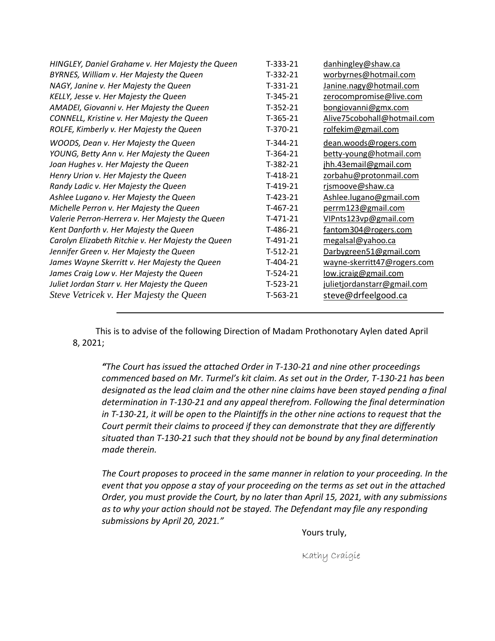| HINGLEY, Daniel Grahame v. Her Majesty the Queen   | $T-333-21$ | danhingley@shaw.ca          |
|----------------------------------------------------|------------|-----------------------------|
| BYRNES, William v. Her Majesty the Queen           | $T-332-21$ | worbyrnes@hotmail.com       |
| NAGY, Janine v. Her Majesty the Queen              | $T-331-21$ | Janine.nagy@hotmail.com     |
| KELLY, Jesse v. Her Majesty the Queen              | $T-345-21$ | zerocompromise@live.com     |
| AMADEI, Giovanni v. Her Majesty the Queen          | $T-352-21$ | bongiovanni@gmx.com         |
| CONNELL, Kristine v. Her Majesty the Queen         | $T-365-21$ | Alive75cobohall@hotmail.com |
| ROLFE, Kimberly v. Her Majesty the Queen           | $T-370-21$ | rolfekim@gmail.com          |
| WOODS, Dean v. Her Majesty the Queen               | $T-344-21$ | dean.woods@rogers.com       |
| YOUNG, Betty Ann v. Her Majesty the Queen          | $T-364-21$ | betty-young@hotmail.com     |
| Joan Hughes v. Her Majesty the Queen               | $T-382-21$ | jhh.43email@gmail.com       |
| Henry Urion v. Her Majesty the Queen               | $T-418-21$ | zorbahu@protonmail.com      |
| Randy Ladic v. Her Majesty the Queen               | $T-419-21$ | rjsmoove@shaw.ca            |
| Ashlee Lugano v. Her Majesty the Queen             | $T-423-21$ | Ashlee.lugano@gmail.com     |
| Michelle Perron v. Her Majesty the Queen           | $T-467-21$ | perrm123@gmail.com          |
| Valerie Perron-Herrera v. Her Majesty the Queen    | $T-471-21$ | VIPnts123vp@gmail.com       |
| Kent Danforth v. Her Majesty the Queen             | T-486-21   | fantom304@rogers.com        |
| Carolyn Elizabeth Ritchie v. Her Majesty the Queen | $T-491-21$ | megalsal@yahoo.ca           |
| Jennifer Green v. Her Majesty the Queen            | $T-512-21$ | Darbygreen51@gmail.com      |
| James Wayne Skerritt v. Her Majesty the Queen      | $T-404-21$ | wayne-skerritt47@rogers.com |
| James Craig Low v. Her Majesty the Queen           | $T-524-21$ | low.jcraig@gmail.com        |
| Juliet Jordan Starr v. Her Majesty the Queen       | $T-523-21$ | julietjordanstarr@gmail.com |
| Steve Vetricek v. Her Majesty the Queen            | $T-563-21$ | steve@drfeelgood.ca         |

This is to advise of the following Direction of Madam Prothonotary Aylen dated April 8, 2021;

*"The Court has issued the attached Order in T-130-21 and nine other proceedings commenced based on Mr. Turmel's kit claim. As set out in the Order, T-130-21 has been designated as the lead claim and the other nine claims have been stayed pending a final determination in T-130-21 and any appeal therefrom. Following the final determination in T-130-21, it will be open to the Plaintiffs in the other nine actions to request that the Court permit their claims to proceed if they can demonstrate that they are differently situated than T-130-21 such that they should not be bound by any final determination made therein.*

*The Court proposes to proceed in the same manner in relation to your proceeding. In the event that you oppose a stay of your proceeding on the terms as set out in the attached Order, you must provide the Court, by no later than April 15, 2021, with any submissions as to why your action should not be stayed. The Defendant may file any responding submissions by April 20, 2021."*

Yours truly,

Kathy Craigie